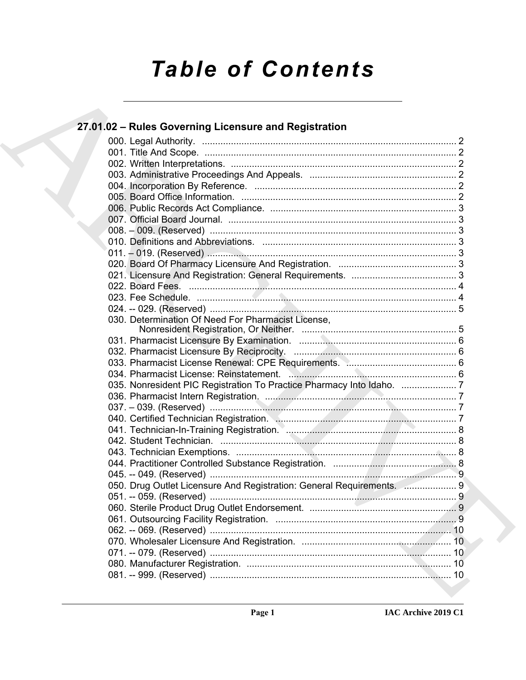# **Table of Contents**

| 27.01.02 - Rules Governing Licensure and Registration |                                                                       |
|-------------------------------------------------------|-----------------------------------------------------------------------|
|                                                       |                                                                       |
|                                                       |                                                                       |
|                                                       |                                                                       |
|                                                       |                                                                       |
|                                                       |                                                                       |
|                                                       |                                                                       |
|                                                       |                                                                       |
|                                                       |                                                                       |
|                                                       |                                                                       |
|                                                       |                                                                       |
|                                                       |                                                                       |
|                                                       |                                                                       |
|                                                       |                                                                       |
|                                                       |                                                                       |
|                                                       |                                                                       |
|                                                       |                                                                       |
| 030. Determination Of Need For Pharmacist License,    |                                                                       |
|                                                       |                                                                       |
|                                                       |                                                                       |
|                                                       |                                                                       |
|                                                       |                                                                       |
|                                                       |                                                                       |
|                                                       |                                                                       |
|                                                       |                                                                       |
|                                                       |                                                                       |
|                                                       |                                                                       |
|                                                       |                                                                       |
|                                                       |                                                                       |
|                                                       |                                                                       |
|                                                       |                                                                       |
|                                                       |                                                                       |
|                                                       | 050. Drug Outlet Licensure And Registration: General Requirements.  9 |
|                                                       |                                                                       |
|                                                       |                                                                       |
|                                                       |                                                                       |
|                                                       |                                                                       |
|                                                       |                                                                       |
|                                                       |                                                                       |
|                                                       |                                                                       |
|                                                       |                                                                       |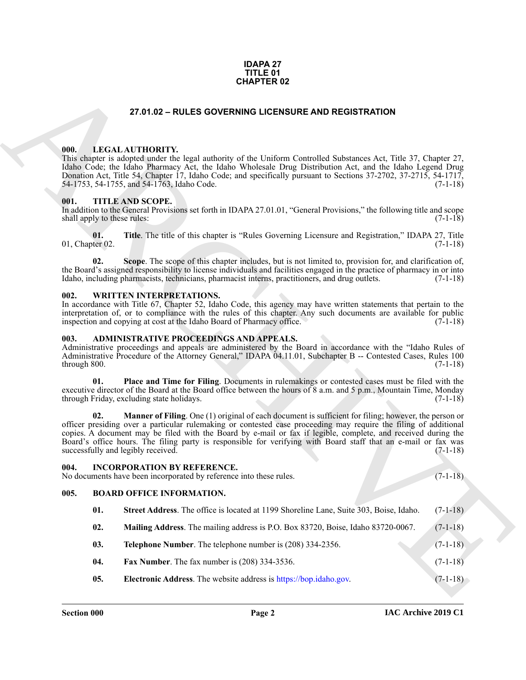### **IDAPA 27 TITLE 01 CHAPTER 02**

### **27.01.02 – RULES GOVERNING LICENSURE AND REGISTRATION**

### <span id="page-1-10"></span><span id="page-1-1"></span><span id="page-1-0"></span>**000. LEGAL AUTHORITY.**

This chapter is adopted under the legal authority of the Uniform Controlled Substances Act, Title 37, Chapter 27, Idaho Code; the Idaho Pharmacy Act, the Idaho Wholesale Drug Distribution Act, and the Idaho Legend Drug Donation Act, Title 54, Chapter 17, Idaho Code; and specifically pursuant to Sections 37-2702, 37-2715, 54-1717, 54-1755, and 54-1763, Idaho Code. 54-1753, 54-1755, and 54-1763, Idaho Code.

### <span id="page-1-11"></span><span id="page-1-2"></span>**001. TITLE AND SCOPE.**

In addition to the General Provisions set forth in IDAPA 27.01.01, "General Provisions," the following title and scope shall apply to these rules: (7-1-18) (3-1-18)

**01. Title**. The title of this chapter is "Rules Governing Licensure and Registration," IDAPA 27, Title 01, Chapter 02. (7-1-18)

**02. Scope**. The scope of this chapter includes, but is not limited to, provision for, and clarification of, the Board's assigned responsibility to license individuals and facilities engaged in the practice of pharmacy in or into Idaho, including pharmacists, technicians, pharmacist interns, practitioners, and drug outlets. (7-1-18)

### <span id="page-1-12"></span><span id="page-1-3"></span>**002. WRITTEN INTERPRETATIONS.**

In accordance with Title 67, Chapter 52, Idaho Code, this agency may have written statements that pertain to the interpretation of, or to compliance with the rules of this chapter. Any such documents are available for public inspection and copying at cost at the Idaho Board of Pharmacy office. (7-1-18)

### <span id="page-1-7"></span><span id="page-1-4"></span>**003. ADMINISTRATIVE PROCEEDINGS AND APPEALS.**

Administrative proceedings and appeals are administered by the Board in accordance with the "Idaho Rules of Administrative Procedure of the Attorney General," IDAPA 04.11.01, Subchapter B -- Contested Cases, Rules 100 through 800. (7-1-18)

**01. Place and Time for Filing**. Documents in rulemakings or contested cases must be filed with the executive director of the Board at the Board office between the hours of 8 a.m. and 5 p.m., Mountain Time, Monday through Friday, excluding state holidays. (7-1-18)

<span id="page-1-5"></span>**Manner of Filing**. One (1) original of each document is sufficient for filing; however, the person or officer presiding over a particular rulemaking or contested case proceeding may require the filing of additional copies. A document may be filed with the Board by e-mail or fax if legible, complete, and received during the Board's office hours. The filing party is responsible for verifying with Board staff that an e-mail or fax was successfully and legibly received. (7-1-18)

# ARCHIVE **004. INCORPORATION BY REFERENCE.** No documents have been incorporated by reference into these rules. (7-1-18) **005. BOARD OFFICE INFORMATION.**

- <span id="page-1-9"></span><span id="page-1-8"></span><span id="page-1-6"></span>**01. Street Address**. The office is located at 1199 Shoreline Lane, Suite 303, Boise, Idaho. (7-1-18)
- **02. Mailing Address**. The mailing address is P.O. Box 83720, Boise, Idaho 83720-0067. (7-1-18)
- **03. Telephone Number**. The telephone number is (208) 334-2356. (7-1-18)
- **04. Fax Number**. The fax number is (208) 334-3536. (7-1-18)
- **05. Electronic Address**. The website address is https://bop.idaho.gov. (7-1-18)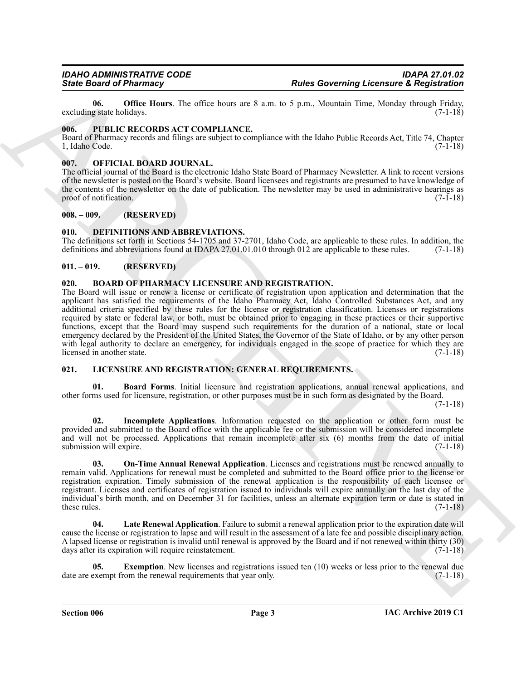**06. Office Hours**. The office hours are 8 a.m. to 5 p.m., Mountain Time, Monday through Friday, g state holidays. (7-1-18) excluding state holidays.

### <span id="page-2-16"></span><span id="page-2-0"></span>**006. PUBLIC RECORDS ACT COMPLIANCE.**

Board of Pharmacy records and filings are subject to compliance with the Idaho Public Records Act, Title 74, Chapter 1, Idaho Code. (7-1-18)

### <span id="page-2-15"></span><span id="page-2-1"></span>**007. OFFICIAL BOARD JOURNAL.**

The official journal of the Board is the electronic Idaho State Board of Pharmacy Newsletter. A link to recent versions of the newsletter is posted on the Board's website. Board licensees and registrants are presumed to have knowledge of the contents of the newsletter on the date of publication. The newsletter may be used in administrative hearings as proof of notification. (7-1-18)

### <span id="page-2-2"></span>**008. – 009. (RESERVED)**

### <span id="page-2-8"></span><span id="page-2-3"></span>**010. DEFINITIONS AND ABBREVIATIONS.**

The definitions set forth in Sections 54-1705 and 37-2701, Idaho Code, are applicable to these rules. In addition, the definitions and abbreviations found at IDAPA 27.01.01.010 through 012 are applicable to these rules. (7-1-18)

### <span id="page-2-4"></span>**011. – 019. (RESERVED)**

### <span id="page-2-7"></span><span id="page-2-5"></span>**020. BOARD OF PHARMACY LICENSURE AND REGISTRATION.**

**Since of Pharmacy** Transfers Control to the set of the 18 km is  $\kappa$  1 km in the set of Registration control to the set of the set of the set of the set of the set of the set of the set of the set of the set of the set The Board will issue or renew a license or certificate of registration upon application and determination that the applicant has satisfied the requirements of the Idaho Pharmacy Act, Idaho Controlled Substances Act, and any additional criteria specified by these rules for the license or registration classification. Licenses or registrations required by state or federal law, or both, must be obtained prior to engaging in these practices or their supportive functions, except that the Board may suspend such requirements for the duration of a national, state or local emergency declared by the President of the United States, the Governor of the State of Idaho, or by any other person with legal authority to declare an emergency, for individuals engaged in the scope of practice for which they are licensed in another state. (7-1-18)

### <span id="page-2-9"></span><span id="page-2-6"></span>**021. LICENSURE AND REGISTRATION: GENERAL REQUIREMENTS.**

<span id="page-2-10"></span>**01. Board Forms**. Initial licensure and registration applications, annual renewal applications, and other forms used for licensure, registration, or other purposes must be in such form as designated by the Board.

 $(7-1-18)$ 

<span id="page-2-12"></span>**02. Incomplete Applications**. Information requested on the application or other form must be provided and submitted to the Board office with the applicable fee or the submission will be considered incomplete and will not be processed. Applications that remain incomplete after six (6) months from the date of initial submission will expire. (7-1-18)

<span id="page-2-14"></span>**03. On-Time Annual Renewal Application**. Licenses and registrations must be renewed annually to remain valid. Applications for renewal must be completed and submitted to the Board office prior to the license or registration expiration. Timely submission of the renewal application is the responsibility of each licensee or registrant. Licenses and certificates of registration issued to individuals will expire annually on the last day of the individual's birth month, and on December 31 for facilities, unless an alternate expiration term or date is stated in these rules.  $(7-1-18)$ 

<span id="page-2-13"></span>Late Renewal Application. Failure to submit a renewal application prior to the expiration date will cause the license or registration to lapse and will result in the assessment of a late fee and possible disciplinary action. A lapsed license or registration is invalid until renewal is approved by the Board and if not renewed within thirty (30) days after its expiration will require reinstatement. (7-1-18)

<span id="page-2-11"></span>**05.** Exemption. New licenses and registrations issued ten (10) weeks or less prior to the renewal due date are exempt from the renewal requirements that year only. (7-1-18)

**Section 006 Page 3**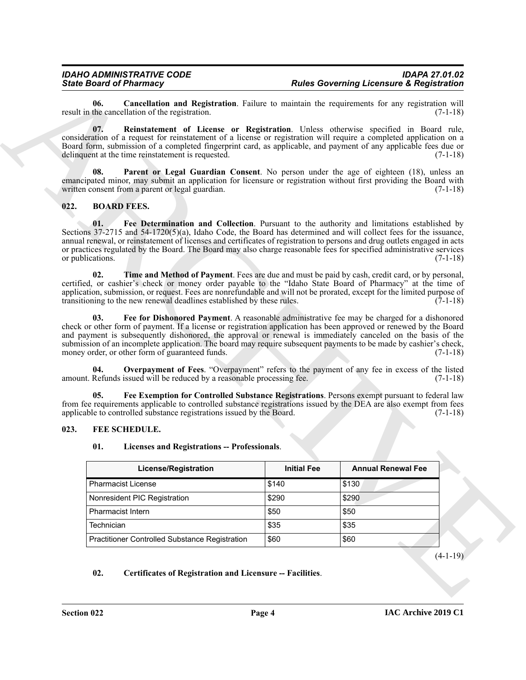## <span id="page-3-13"></span><span id="page-3-12"></span><span id="page-3-7"></span><span id="page-3-5"></span><span id="page-3-3"></span><span id="page-3-2"></span><span id="page-3-0"></span>**022. BOARD FEES.**

### <span id="page-3-1"></span>**023. FEE SCHEDULE.**

### <span id="page-3-10"></span><span id="page-3-8"></span><span id="page-3-6"></span><span id="page-3-4"></span>**01. Licenses and Registrations -- Professionals**.

<span id="page-3-11"></span>

| 06.                     | Cancellation and Registration. Failure to maintain the requirements for any registration will<br>result in the cancellation of the registration.                                                                                                                                                                                                                                                                                                                                                         |                    | $(7-1-18)$                |
|-------------------------|----------------------------------------------------------------------------------------------------------------------------------------------------------------------------------------------------------------------------------------------------------------------------------------------------------------------------------------------------------------------------------------------------------------------------------------------------------------------------------------------------------|--------------------|---------------------------|
| 07.                     | Reinstatement of License or Registration. Unless otherwise specified in Board rule,<br>consideration of a request for reinstatement of a license or registration will require a completed application on a<br>Board form, submission of a completed fingerprint card, as applicable, and payment of any applicable fees due or<br>delinquent at the time reinstatement is requested.                                                                                                                     |                    | $(7-1-18)$                |
| 08.                     | Parent or Legal Guardian Consent. No person under the age of eighteen (18), unless an<br>emancipated minor, may submit an application for licensure or registration without first providing the Board with<br>written consent from a parent or legal guardian.                                                                                                                                                                                                                                           |                    | $(7-1-18)$                |
| 022.                    | <b>BOARD FEES.</b>                                                                                                                                                                                                                                                                                                                                                                                                                                                                                       |                    |                           |
| 01.<br>or publications. | Fee Determination and Collection. Pursuant to the authority and limitations established by<br>Sections $37-2715$ and $54-1720(5)(a)$ , Idaho Code, the Board has determined and will collect fees for the issuance,<br>annual renewal, or reinstatement of licenses and certificates of registration to persons and drug outlets engaged in acts<br>or practices regulated by the Board. The Board may also charge reasonable fees for specified administrative services                                 |                    | $(7-1-18)$                |
| 02.                     | Time and Method of Payment. Fees are due and must be paid by cash, credit card, or by personal,<br>certified, or cashier's check or money order payable to the "Idaho State Board of Pharmacy" at the time of<br>application, submission, or request. Fees are nonrefundable and will not be prorated, except for the limited purpose of<br>transitioning to the new renewal deadlines established by these rules.                                                                                       |                    | $(7-1-18)$                |
| 03.                     | Fee for Dishonored Payment. A reasonable administrative fee may be charged for a dishonored<br>check or other form of payment. If a license or registration application has been approved or renewed by the Board<br>and payment is subsequently dishonored, the approval or renewal is immediately canceled on the basis of the<br>submission of an incomplete application. The board may require subsequent payments to be made by cashier's check,<br>money order, or other form of guaranteed funds. |                    | $(7-1-18)$                |
| 04.                     | <b>Overpayment of Fees.</b> "Overpayment" refers to the payment of any fee in excess of the listed<br>amount. Refunds issued will be reduced by a reasonable processing fee.                                                                                                                                                                                                                                                                                                                             |                    | $(7-1-18)$                |
|                         |                                                                                                                                                                                                                                                                                                                                                                                                                                                                                                          |                    |                           |
| 05.                     | Fee Exemption for Controlled Substance Registrations. Persons exempt pursuant to federal law<br>from fee requirements applicable to controlled substance registrations issued by the DEA are also exempt from fees<br>applicable to controlled substance registrations issued by the Board.                                                                                                                                                                                                              |                    | $(7-1-18)$                |
| 023.                    | FEE SCHEDULE.                                                                                                                                                                                                                                                                                                                                                                                                                                                                                            |                    |                           |
|                         |                                                                                                                                                                                                                                                                                                                                                                                                                                                                                                          |                    |                           |
| 01.                     | Licenses and Registrations -- Professionals.                                                                                                                                                                                                                                                                                                                                                                                                                                                             |                    |                           |
|                         | <b>License/Registration</b>                                                                                                                                                                                                                                                                                                                                                                                                                                                                              | <b>Initial Fee</b> | <b>Annual Renewal Fee</b> |
|                         | Pharmacist License                                                                                                                                                                                                                                                                                                                                                                                                                                                                                       | \$140              | \$130                     |
|                         | Nonresident PIC Registration                                                                                                                                                                                                                                                                                                                                                                                                                                                                             | \$290              | \$290                     |
|                         | Pharmacist Intern                                                                                                                                                                                                                                                                                                                                                                                                                                                                                        | \$50               | \$50                      |
| Technician              |                                                                                                                                                                                                                                                                                                                                                                                                                                                                                                          | \$35               | \$35                      |
|                         | Practitioner Controlled Substance Registration                                                                                                                                                                                                                                                                                                                                                                                                                                                           | \$60               | \$60<br>$(4-1-19)$        |

### <span id="page-3-9"></span>**02. Certificates of Registration and Licensure -- Facilities**.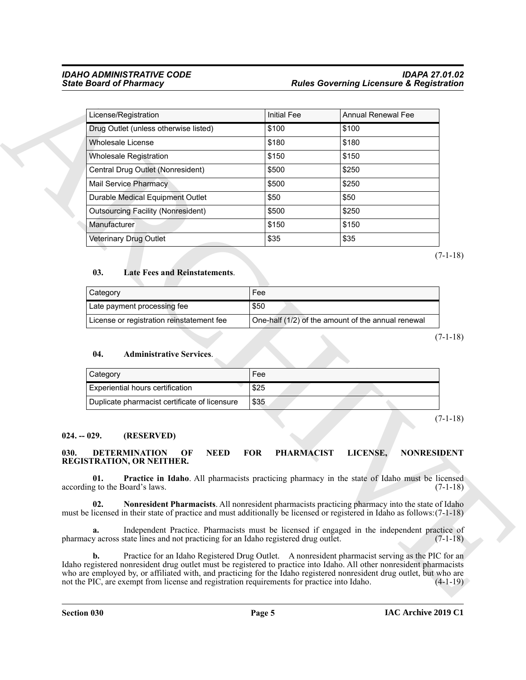| <b>State Board of Pharmacy</b>                                                                                                                                                                                                       |                                 | <b>Rules Governing Licensure &amp; Registration</b> |                                                                            |
|--------------------------------------------------------------------------------------------------------------------------------------------------------------------------------------------------------------------------------------|---------------------------------|-----------------------------------------------------|----------------------------------------------------------------------------|
| License/Registration                                                                                                                                                                                                                 | <b>Initial Fee</b>              | <b>Annual Renewal Fee</b>                           |                                                                            |
| Drug Outlet (unless otherwise listed)                                                                                                                                                                                                | \$100                           | \$100                                               |                                                                            |
| <b>Wholesale License</b>                                                                                                                                                                                                             | \$180                           | \$180                                               |                                                                            |
| <b>Wholesale Registration</b>                                                                                                                                                                                                        | \$150                           | \$150                                               |                                                                            |
| Central Drug Outlet (Nonresident)                                                                                                                                                                                                    | \$500                           | \$250                                               |                                                                            |
| <b>Mail Service Pharmacy</b>                                                                                                                                                                                                         | \$500                           | \$250                                               |                                                                            |
| Durable Medical Equipment Outlet                                                                                                                                                                                                     | \$50                            | \$50                                                |                                                                            |
| <b>Outsourcing Facility (Nonresident)</b>                                                                                                                                                                                            | \$500                           | \$250                                               |                                                                            |
| Manufacturer                                                                                                                                                                                                                         | \$150                           | \$150                                               |                                                                            |
| Veterinary Drug Outlet                                                                                                                                                                                                               | \$35                            | \$35                                                |                                                                            |
| Category                                                                                                                                                                                                                             | Fee                             |                                                     |                                                                            |
| Late payment processing fee                                                                                                                                                                                                          | \$50                            |                                                     |                                                                            |
|                                                                                                                                                                                                                                      |                                 |                                                     |                                                                            |
| License or registration reinstatement fee<br>04.<br><b>Administrative Services.</b>                                                                                                                                                  |                                 | One-half (1/2) of the amount of the annual renewal  |                                                                            |
|                                                                                                                                                                                                                                      |                                 |                                                     |                                                                            |
| Category                                                                                                                                                                                                                             | Fee                             |                                                     |                                                                            |
| Experiential hours certification<br>Duplicate pharmacist certificate of licensure                                                                                                                                                    | \$25<br>\$35                    |                                                     |                                                                            |
| $024. - 029.$<br>(RESERVED)<br>030.<br><b>NEED</b><br><b>DETERMINATION</b><br>OF                                                                                                                                                     | <b>FOR</b><br><b>PHARMACIST</b> | LICENSE,                                            |                                                                            |
| <b>REGISTRATION, OR NEITHER.</b><br>01.<br><b>Practice in Idaho.</b> All pharmacists practicing pharmacy in the state of Idaho must be licensed<br>according to the Board's laws.                                                    |                                 |                                                     |                                                                            |
| 02.<br>Nonresident Pharmacists. All nonresident pharmacists practicing pharmacy into the state of Idaho<br>must be licensed in their state of practice and must additionally be licensed or registered in Idaho as follows: (7-1-18) |                                 |                                                     |                                                                            |
| Independent Practice. Pharmacists must be licensed if engaged in the independent practice of<br>a.<br>pharmacy across state lines and not practicing for an Idaho registered drug outlet.                                            |                                 |                                                     | $(7-1-18)$<br>$(7-1-18)$<br><b>NONRESIDENT</b><br>$(7-1-18)$<br>$(7-1-18)$ |

### <span id="page-4-6"></span>**03. Late Fees and Reinstatements**.

| Category                                  | Fee                                                |
|-------------------------------------------|----------------------------------------------------|
| Late payment processing fee               | \$50                                               |
| License or registration reinstatement fee | One-half (1/2) of the amount of the annual renewal |

### <span id="page-4-5"></span>**04. Administrative Services**.

| <b>Category</b>                               | Fee  |
|-----------------------------------------------|------|
| Experiential hours certification              | \$25 |
| Duplicate pharmacist certificate of licensure | \$35 |

### <span id="page-4-0"></span>**024. -- 029. (RESERVED)**

### <span id="page-4-4"></span><span id="page-4-3"></span><span id="page-4-2"></span><span id="page-4-1"></span>**030. DETERMINATION OF NEED FOR PHARMACIST LICENSE, NONRESIDENT REGISTRATION, OR NEITHER.**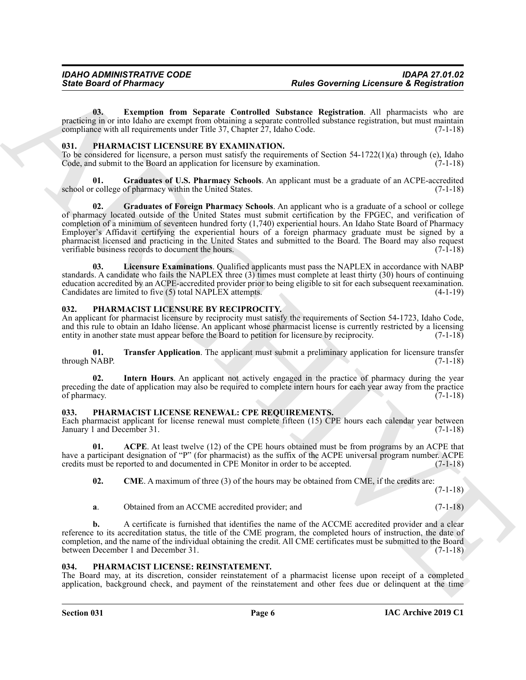<span id="page-5-4"></span>**03. Exemption from Separate Controlled Substance Registration**. All pharmacists who are practicing in or into Idaho are exempt from obtaining a separate controlled substance registration, but must maintain compliance with all requirements under Title 37, Chapter  $\overline{27}$ , Idaho Code. (7-1-18)

### <span id="page-5-9"></span><span id="page-5-0"></span>**031. PHARMACIST LICENSURE BY EXAMINATION.**

To be considered for licensure, a person must satisfy the requirements of Section 54-1722(1)(a) through (e), Idaho Code, and submit to the Board an application for licensure by examination. (7-1-18)

<span id="page-5-11"></span><span id="page-5-10"></span>**Graduates of U.S. Pharmacy Schools**. An applicant must be a graduate of an ACPE-accredited of pharmacy within the United States. (7-1-18) school or college of pharmacy within the United States.

**Since Board of Pharmacy<br>
60. Convention from Symmetr Controlled Substitute Algitudina ARC<br>
process the convention from Symmetr Controlled Substitute Algitudina ARC<br>
process the convention from Symmetric Substitute Algitu 02. Graduates of Foreign Pharmacy Schools**. An applicant who is a graduate of a school or college of pharmacy located outside of the United States must submit certification by the FPGEC, and verification of completion of a minimum of seventeen hundred forty (1,740) experiential hours. An Idaho State Board of Pharmacy Employer's Affidavit certifying the experiential hours of a foreign pharmacy graduate must be signed by a pharmacist licensed and practicing in the United States and submitted to the Board. The Board may also request verifiable business records to document the hours. (7-1-18)

<span id="page-5-12"></span>**03. Licensure Examinations**. Qualified applicants must pass the NAPLEX in accordance with NABP standards. A candidate who fails the NAPLEX three (3) times must complete at least thirty (30) hours of continuing education accredited by an ACPE-accredited provider prior to being eligible to sit for each subsequent reexamination. Candidates are limited to five (5) total NAPLEX attempts. (4-1-19)

## <span id="page-5-13"></span><span id="page-5-1"></span>**032. PHARMACIST LICENSURE BY RECIPROCITY.**

An applicant for pharmacist licensure by reciprocity must satisfy the requirements of Section 54-1723, Idaho Code, and this rule to obtain an Idaho license. An applicant whose pharmacist license is currently restricted by a licensing entity in another state must appear before the Board to petition for licensure by reciprocity. (7-1-18) entity in another state must appear before the Board to petition for licensure by reciprocity.

<span id="page-5-15"></span>**01. Transfer Application**. The applicant must submit a preliminary application for licensure transfer (7-1-18) through NABP.

<span id="page-5-14"></span>Intern Hours. An applicant not actively engaged in the practice of pharmacy during the year preceding the date of application may also be required to complete intern hours for each year away from the practice of pharmacy. (7-1-18) of pharmacy.

### <span id="page-5-6"></span><span id="page-5-2"></span>**033. PHARMACIST LICENSE RENEWAL: CPE REQUIREMENTS.**

Each pharmacist applicant for license renewal must complete fifteen (15) CPE hours each calendar year between January 1 and December 31. (7-1-18)

**01. ACPE**. At least twelve (12) of the CPE hours obtained must be from programs by an ACPE that have a participant designation of "P" (for pharmacist) as the suffix of the ACPE universal program number. ACPE credits must be reported to and documented in CPE Monitor in order to be accepted. (7-1-18)

<span id="page-5-8"></span><span id="page-5-7"></span>**02.** CME. A maximum of three (3) of the hours may be obtained from CME, if the credits are: (7-1-18)

**a**. Obtained from an ACCME accredited provider; and  $(7-1-18)$ 

**b.** A certificate is furnished that identifies the name of the ACCME accredited provider and a clear reference to its accreditation status, the title of the CME program, the completed hours of instruction, the date of completion, and the name of the individual obtaining the credit. All CME certificates must be submitted to the Board between December 1 and December 31. (7-1-18)

### <span id="page-5-5"></span><span id="page-5-3"></span>**034. PHARMACIST LICENSE: REINSTATEMENT.**

The Board may, at its discretion, consider reinstatement of a pharmacist license upon receipt of a completed application, background check, and payment of the reinstatement and other fees due or delinquent at the time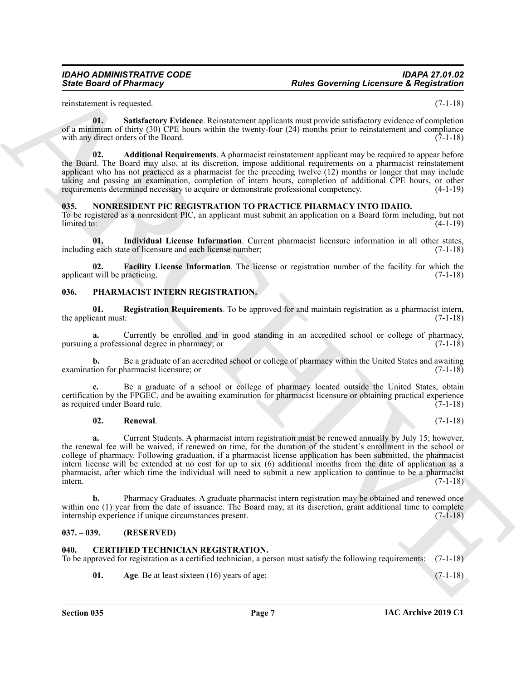reinstatement is requested. (7-1-18)

<span id="page-6-13"></span>**01. Satisfactory Evidence**. Reinstatement applicants must provide satisfactory evidence of completion of a minimum of thirty (30) CPE hours within the twenty-four (24) months prior to reinstatement and compliance with any direct orders of the Board. (7-1-18)

<span id="page-6-12"></span>**02. Additional Requirements**. A pharmacist reinstatement applicant may be required to appear before the Board. The Board may also, at its discretion, impose additional requirements on a pharmacist reinstatement applicant who has not practiced as a pharmacist for the preceding twelve (12) months or longer that may include taking and passing an examination, completion of intern hours, completion of additional CPE hours, or other requirements determined necessary to acquire or demonstrate professional competency. (4-1-19)

### <span id="page-6-6"></span><span id="page-6-0"></span>**035. NONRESIDENT PIC REGISTRATION TO PRACTICE PHARMACY INTO IDAHO.**

To be registered as a nonresident PIC, an applicant must submit an application on a Board form including, but not  $\lim_{x \to 0}$  (4-1-19)

<span id="page-6-8"></span>**01. Individual License Information**. Current pharmacist licensure information in all other states, including each state of licensure and each license number; (7-1-18)

<span id="page-6-7"></span>**02. Facility License Information**. The license or registration number of the facility for which the applicant will be practicing. (7-1-18)  $(7-1-18)$ 

### <span id="page-6-9"></span><span id="page-6-1"></span>**036. PHARMACIST INTERN REGISTRATION.**

<span id="page-6-10"></span>**01. Registration Requirements**. To be approved for and maintain registration as a pharmacist intern, the applicant must:

**a.** Currently be enrolled and in good standing in an accredited school or college of pharmacy, pursuing a professional degree in pharmacy; or (7-1-18)

**b.** Be a graduate of an accredited school or college of pharmacy within the United States and awaiting examination for pharmacist licensure; or (7-1-18)

**c.** Be a graduate of a school or college of pharmacy located outside the United States, obtain certification by the FPGEC, and be awaiting examination for pharmacist licensure or obtaining practical experience as required under Board rule. (7-1-18)

### <span id="page-6-11"></span>**02. Renewal**. (7-1-18)

Since Board of Phistomacy<br>
Since Board of Phistomacy<br>
xcaling in Streets and the state of the state of the state of the state of the state of the state<br>
of the filter of the state of the state of the state of the state of **a.** Current Students. A pharmacist intern registration must be renewed annually by July 15; however, the renewal fee will be waived, if renewed on time, for the duration of the student's enrollment in the school or college of pharmacy. Following graduation, if a pharmacist license application has been submitted, the pharmacist intern license will be extended at no cost for up to six (6) additional months from the date of application as a pharmacist, after which time the individual will need to submit a new application to continue to be a pharmacist  $\frac{1}{2}$  intern. (7-1-18)

**b.** Pharmacy Graduates. A graduate pharmacist intern registration may be obtained and renewed once within one (1) year from the date of issuance. The Board may, at its discretion, grant additional time to complete internship experience if unique circumstances present.  $(7-1-18)$ internship experience if unique circumstances present.

### <span id="page-6-2"></span>**037. – 039. (RESERVED)**

### <span id="page-6-4"></span><span id="page-6-3"></span>**040. CERTIFIED TECHNICIAN REGISTRATION.**

To be approved for registration as a certified technician, a person must satisfy the following requirements: (7-1-18)

<span id="page-6-5"></span>**01.** Age. Be at least sixteen (16) years of age; (7-1-18)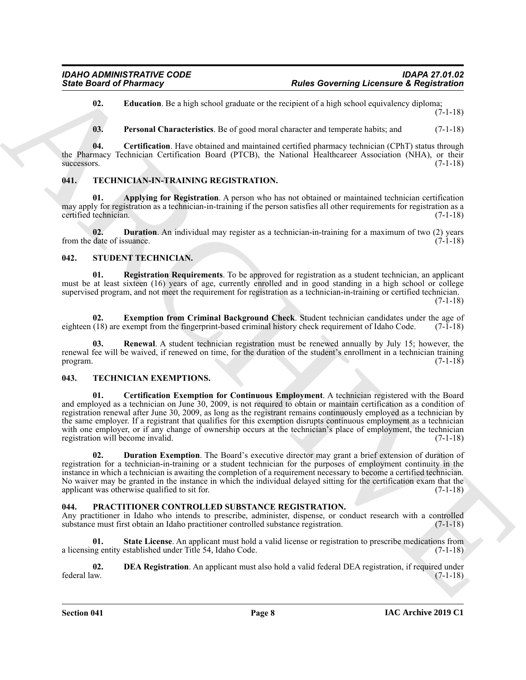<span id="page-7-5"></span>**02. Education**. Be a high school graduate or the recipient of a high school equivalency diploma; (7-1-18)

<span id="page-7-6"></span><span id="page-7-4"></span>**03. Personal Characteristics**. Be of good moral character and temperate habits; and (7-1-18)

**04. Certification**. Have obtained and maintained certified pharmacy technician (CPhT) status through the Pharmacy Technician Certification Board (PTCB), the National Healthcareer Association (NHA), or their  $s$ uccessors.  $(7-1-18)$ 

## <span id="page-7-17"></span><span id="page-7-0"></span>**041. TECHNICIAN-IN-TRAINING REGISTRATION.**

<span id="page-7-18"></span>**01.** Applying for Registration. A person who has not obtained or maintained technician certification may apply for registration as a technician-in-training if the person satisfies all other requirements for registration as a certified technician. (7-1-18)

<span id="page-7-19"></span>**02. Duration**. An individual may register as a technician-in-training for a maximum of two (2) years date of issuance. (7-1-18) from the date of issuance.

### <span id="page-7-10"></span><span id="page-7-1"></span>**042. STUDENT TECHNICIAN.**

<span id="page-7-12"></span>**01. Registration Requirements**. To be approved for registration as a student technician, an applicant must be at least sixteen (16) years of age, currently enrolled and in good standing in a high school or college supervised program, and not meet the requirement for registration as a technician-in-training or certified technician.

 $(7-1-18)$ 

<span id="page-7-11"></span>**02. Exemption from Criminal Background Check**. Student technician candidates under the age of eighteen (18) are exempt from the fingerprint-based criminal history check requirement of Idaho Code. (7-1-18)

<span id="page-7-13"></span>**03. Renewal**. A student technician registration must be renewed annually by July 15; however, the renewal fee will be waived, if renewed on time, for the duration of the student's enrollment in a technician training program. (7-1-18) program.  $(7-1-18)$ 

### <span id="page-7-15"></span><span id="page-7-14"></span><span id="page-7-2"></span>**043. TECHNICIAN EXEMPTIONS.**

**Since Board of Phismacy** <sup>2</sup> **Contract the limit of the transport of the state overlayed a behaviour and Registration<br>
17. <b>Example the relationship of the state of the state of the state of the state of the state of the 01. Certification Exemption for Continuous Employment**. A technician registered with the Board and employed as a technician on June 30, 2009, is not required to obtain or maintain certification as a condition of registration renewal after June 30, 2009, as long as the registrant remains continuously employed as a technician by the same employer. If a registrant that qualifies for this exemption disrupts continuous employment as a technician with one employer, or if any change of ownership occurs at the technician's place of employment, the technician registration will become invalid. (7-1-18) registration will become invalid.

<span id="page-7-16"></span>**02. Duration Exemption**. The Board's executive director may grant a brief extension of duration of registration for a technician-in-training or a student technician for the purposes of employment continuity in the instance in which a technician is awaiting the completion of a requirement necessary to become a certified technician. No waiver may be granted in the instance in which the individual delayed sitting for the certification exam that the applicant was otherwise qualified to sit for. (7-1-18) applicant was otherwise qualified to sit for.

### <span id="page-7-7"></span><span id="page-7-3"></span>**044. PRACTITIONER CONTROLLED SUBSTANCE REGISTRATION.**

Any practitioner in Idaho who intends to prescribe, administer, dispense, or conduct research with a controlled substance must first obtain an Idaho practitioner controlled substance registration. (7-1-18) substance must first obtain an Idaho practitioner controlled substance registration.

<span id="page-7-9"></span>**State License**. An applicant must hold a valid license or registration to prescribe medications from a licensing entity established under Title 54, Idaho Code. (7-1-18)

<span id="page-7-8"></span>**02. DEA Registration**. An applicant must also hold a valid federal DEA registration, if required under federal law. (7-1-18) federal law. (7-1-18)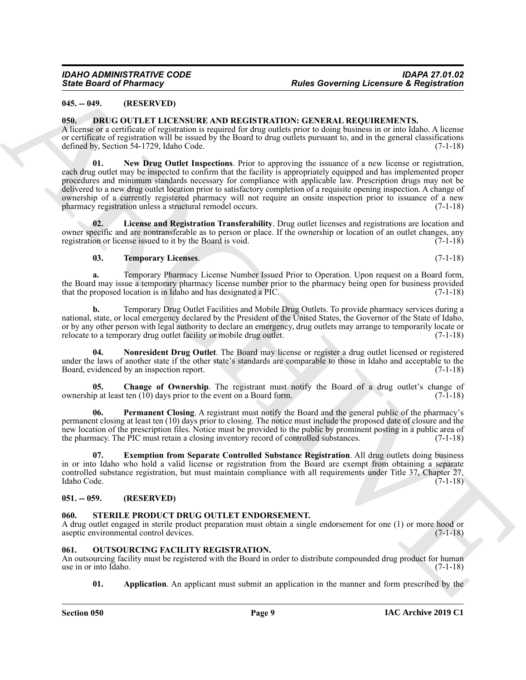## <span id="page-8-0"></span>**045. -- 049. (RESERVED)**

### <span id="page-8-5"></span><span id="page-8-1"></span>**050. DRUG OUTLET LICENSURE AND REGISTRATION: GENERAL REQUIREMENTS.**

<span id="page-8-9"></span>A license or a certificate of registration is required for drug outlets prior to doing business in or into Idaho. A license or certificate of registration will be issued by the Board to drug outlets pursuant to, and in the general classifications defined by, Section 54-1729, Idaho Code. (7-1-18)

Since Board of Phismacy<br>
16. 1997. (ATHEN INTER PRODUCE A SUB ACRETA ATION CAN TRAIN INTERNATION (AT ARCHIVES)<br>
1998. (AT ARCHIVES) (AT ARCHIVES) (AT ARCHIVES) (AT ARCHIVES) (AT ARCHIVES) (AT ARCHIVES) (AT ARCHIVES) (AT A **01. New Drug Outlet Inspections**. Prior to approving the issuance of a new license or registration, each drug outlet may be inspected to confirm that the facility is appropriately equipped and has implemented proper procedures and minimum standards necessary for compliance with applicable law. Prescription drugs may not be delivered to a new drug outlet location prior to satisfactory completion of a requisite opening inspection. A change of ownership of a currently registered pharmacy will not require an onsite inspection prior to issuance of a new pharmacy registration unless a structural remodel occurs.

**02. License and Registration Transferability**. Drug outlet licenses and registrations are location and owner specific and are nontransferable as to person or place. If the ownership or location of an outlet changes, any registration or license issued to it by the Board is void. (7-1-18) registration or license issued to it by the Board is void.

### <span id="page-8-12"></span><span id="page-8-8"></span>**03. Temporary Licenses**. (7-1-18)

**a.** Temporary Pharmacy License Number Issued Prior to Operation. Upon request on a Board form, the Board may issue a temporary pharmacy license number prior to the pharmacy being open for business provided<br>that the proposed location is in Idaho and has designated a PIC. (7-1-18) that the proposed location is in Idaho and has designated a PIC.

**b.** Temporary Drug Outlet Facilities and Mobile Drug Outlets. To provide pharmacy services during a national, state, or local emergency declared by the President of the United States, the Governor of the State of Idaho, or by any other person with legal authority to declare an emergency, drug outlets may arrange to temporarily locate or relocate to a temporary drug outlet facility or mobile drug outlet. (7-1-18)

<span id="page-8-10"></span>**04. Nonresident Drug Outlet**. The Board may license or register a drug outlet licensed or registered under the laws of another state if the other state's standards are comparable to those in Idaho and acceptable to the Board, evidenced by an inspection report. (7-1-18)

<span id="page-8-6"></span>**05.** Change of Ownership. The registrant must notify the Board of a drug outlet's change of ip at least ten (10) days prior to the event on a Board form. (7-1-18) ownership at least ten  $(10)$  days prior to the event on a Board form.

<span id="page-8-11"></span>**Permanent Closing.** A registrant must notify the Board and the general public of the pharmacy's permanent closing at least ten (10) days prior to closing. The notice must include the proposed date of closure and the new location of the prescription files. Notice must be provided to the public by prominent posting in a public area of the pharmacy. The PIC must retain a closing inventory record of controlled substances. (7-1-18) the pharmacy. The PIC must retain a closing inventory record of controlled substances.

<span id="page-8-7"></span>**07. Exemption from Separate Controlled Substance Registration**. All drug outlets doing business in or into Idaho who hold a valid license or registration from the Board are exempt from obtaining a separate controlled substance registration, but must maintain compliance with all requirements under Title 37, Chapter 27, Idaho Code. (7-1-18)

### <span id="page-8-2"></span>**051. -- 059. (RESERVED)**

### <span id="page-8-15"></span><span id="page-8-3"></span>**060. STERILE PRODUCT DRUG OUTLET ENDORSEMENT.**

A drug outlet engaged in sterile product preparation must obtain a single endorsement for one (1) or more hood or aseptic environmental control devices. (7-1-18)

### <span id="page-8-13"></span><span id="page-8-4"></span>**061. OUTSOURCING FACILITY REGISTRATION.**

An outsourcing facility must be registered with the Board in order to distribute compounded drug product for human use in or into Idaho. (7-1-18) use in or into Idaho.

<span id="page-8-14"></span>**01.** Application. An applicant must submit an application in the manner and form prescribed by the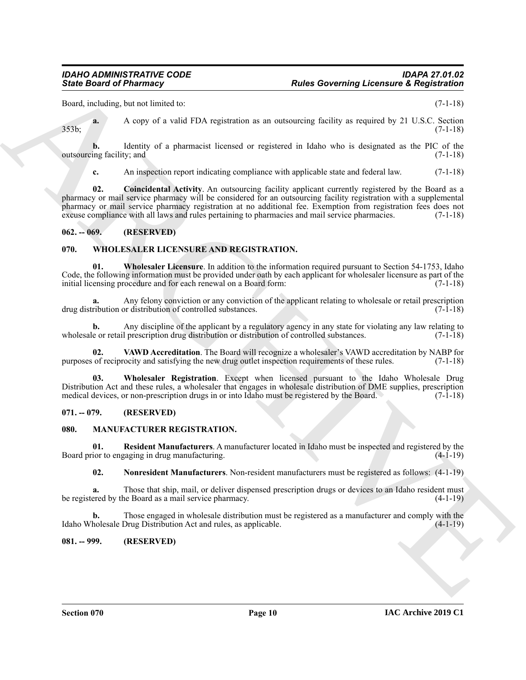Board, including, but not limited to: (7-1-18)

**a.** A copy of a valid FDA registration as an outsourcing facility as required by 21 U.S.C. Section 353b; (7-1-18)

**b.** Identity of a pharmacist licensed or registered in Idaho who is designated as the PIC of the ing facility; and (7-1-18) outsourcing facility; and

<span id="page-9-8"></span>**c.** An inspection report indicating compliance with applicable state and federal law. (7-1-18)

**Since Board of Phiarmacy Cases and TDA registration** and announce in population (1971) and the main of the state of the state of the state of the state of the state of the state of the state of the state of the state of **02. Coincidental Activity**. An outsourcing facility applicant currently registered by the Board as a pharmacy or mail service pharmacy will be considered for an outsourcing facility registration with a supplemental pharmacy or mail service pharmacy registration at no additional fee. Exemption from registration fees does not excuse compliance with all laws and rules pertaining to pharmacies and mail service pharmacies. (7-1-18)

### <span id="page-9-0"></span>**062. -- 069. (RESERVED)**

### <span id="page-9-9"></span><span id="page-9-1"></span>**070. WHOLESALER LICENSURE AND REGISTRATION.**

<span id="page-9-11"></span>**01. Wholesaler Licensure**. In addition to the information required pursuant to Section 54-1753, Idaho Code, the following information must be provided under oath by each applicant for wholesaler licensure as part of the initial licensing procedure and for each renewal on a Board form:  $(7-1-18)$ 

**a.** Any felony conviction or any conviction of the applicant relating to wholesale or retail prescription drug distribution or distribution of controlled substances. (7-1-18)

**b.** Any discipline of the applicant by a regulatory agency in any state for violating any law relating to wholesale or retail prescription drug distribution or distribution of controlled substances. (7-1-18)

<span id="page-9-10"></span>**02.** VAWD Accreditation. The Board will recognize a wholesaler's VAWD accreditation by NABP for of reciprocity and satisfying the new drug outlet inspection requirements of these rules. (7-1-18) purposes of reciprocity and satisfying the new drug outlet inspection requirements of these rules.

<span id="page-9-12"></span>**03. Wholesaler Registration**. Except when licensed pursuant to the Idaho Wholesale Drug Distribution Act and these rules, a wholesaler that engages in wholesale distribution of DME supplies, prescription medical devices, or non-prescription drugs in or into Idaho must be registered by the Board. (7-1-18) medical devices, or non-prescription drugs in or into Idaho must be registered by the Board.

### <span id="page-9-2"></span>**071. -- 079. (RESERVED)**

### <span id="page-9-5"></span><span id="page-9-3"></span>**080. MANUFACTURER REGISTRATION.**

**01. Resident Manufacturers**. A manufacturer located in Idaho must be inspected and registered by the Board prior to engaging in drug manufacturing. (4-1-19)

<span id="page-9-7"></span><span id="page-9-6"></span>**02. Nonresident Manufacturers**. Non-resident manufacturers must be registered as follows: (4-1-19)

**a.** Those that ship, mail, or deliver dispensed prescription drugs or devices to an Idaho resident must be registered by the Board as a mail service pharmacy. (4-1-19)

**b.** Those engaged in wholesale distribution must be registered as a manufacturer and comply with the holesale Drug Distribution Act and rules, as applicable. (4-1-19) Idaho Wholesale Drug Distribution Act and rules, as applicable.

### <span id="page-9-4"></span>**081. -- 999. (RESERVED)**